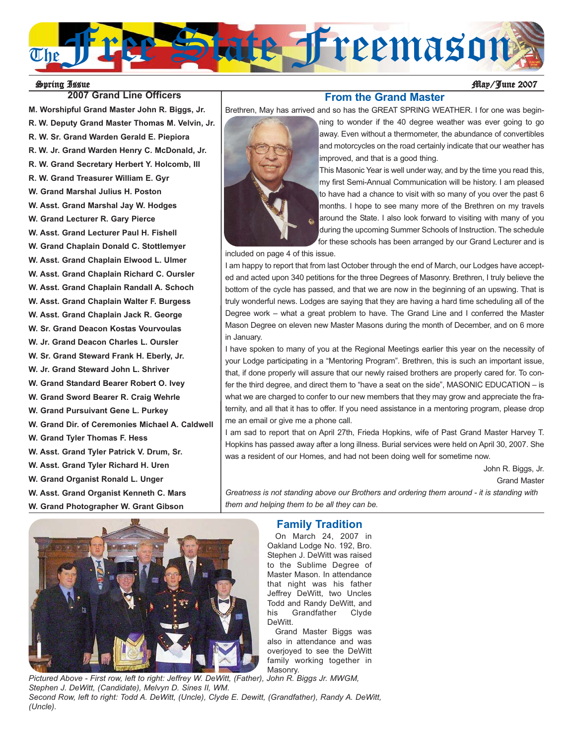

## **2007 Grand Line Officers Constitution 2007 Grand Line Officers**

**M. Worshipful Grand Master John R. Biggs, Jr. R. W. Deputy Grand Master Thomas M. Velvin, Jr. R. W. Sr. Grand Warden Gerald E. Piepiora R. W. Jr. Grand Warden Henry C. McDonald, Jr. R. W. Grand Secretary Herbert Y. Holcomb, III R. W. Grand Treasurer William E. Gyr W. Grand Marshal Julius H. Poston W. Asst. Grand Marshal Jay W. Hodges W. Grand Lecturer R. Gary Pierce W. Asst. Grand Lecturer Paul H. Fishell W. Grand Chaplain Donald C. Stottlemyer W. Asst. Grand Chaplain Elwood L. Ulmer W. Asst. Grand Chaplain Richard C. Oursler W. Asst. Grand Chaplain Randall A. Schoch W. Asst. Grand Chaplain Walter F. Burgess W. Asst. Grand Chaplain Jack R. George W. Sr. Grand Deacon Kostas Vourvoulas W. Jr. Grand Deacon Charles L. Oursler W. Sr. Grand Steward Frank H. Eberly, Jr. W. Jr. Grand Steward John L. Shriver W. Grand Standard Bearer Robert O. Ivey W. Grand Sword Bearer R. Craig Wehrle W. Grand Pursuivant Gene L. Purkey W. Grand Dir. of Ceremonies Michael A. Caldwell W. Grand Tyler Thomas F. Hess W. Asst. Grand Tyler Patrick V. Drum, Sr. W. Asst. Grand Tyler Richard H. Uren W. Grand Organist Ronald L. Unger W. Asst. Grand Organist Kenneth C. Mars W. Grand Photographer W. Grant Gibson**



Brethren, May has arrived and so has the GREAT SPRING WEATHER. I for one was beginning to wonder if the 40 degree weather was ever going to go away. Even without a thermometer, the abundance of convertibles and motorcycles on the road certainly indicate that our weather has improved, and that is a good thing.

> This Masonic Year is well under way, and by the time you read this, my first Semi-Annual Communication will be history. I am pleased to have had a chance to visit with so many of you over the past 6 months. I hope to see many more of the Brethren on my travels around the State. I also look forward to visiting with many of you during the upcoming Summer Schools of Instruction. The schedule for these schools has been arranged by our Grand Lecturer and is

included on page 4 of this issue.

I am happy to report that from last October through the end of March, our Lodges have accepted and acted upon 340 petitions for the three Degrees of Masonry. Brethren, I truly believe the bottom of the cycle has passed, and that we are now in the beginning of an upswing. That is truly wonderful news. Lodges are saying that they are having a hard time scheduling all of the Degree work – what a great problem to have. The Grand Line and I conferred the Master Mason Degree on eleven new Master Masons during the month of December, and on 6 more in January.

**From the Grand Master**

I have spoken to many of you at the Regional Meetings earlier this year on the necessity of your Lodge participating in a "Mentoring Program". Brethren, this is such an important issue, that, if done properly will assure that our newly raised brothers are properly cared for. To confer the third degree, and direct them to "have a seat on the side", MASONIC EDUCATION – is what we are charged to confer to our new members that they may grow and appreciate the fraternity, and all that it has to offer. If you need assistance in a mentoring program, please drop me an email or give me a phone call.

I am sad to report that on April 27th, Frieda Hopkins, wife of Past Grand Master Harvey T. Hopkins has passed away after a long illness. Burial services were held on April 30, 2007. She was a resident of our Homes, and had not been doing well for sometime now.

> John R. Biggs, Jr. Grand Master

*Greatness is not standing above our Brothers and ordering them around - it is standing with them and helping them to be all they can be.*



*Pictured Above - First row, left to right: Jeffrey W. DeWitt, (Father), John R. Biggs Jr. MWGM, Stephen J. DeWitt, (Candidate), Melvyn D. Sines II, WM. Second Row, left to right: Todd A. DeWitt, (Uncle), Clyde E. Dewitt, (Grandfather), Randy A. DeWitt, (Uncle).*

## **Family Tradition**

On March 24, 2007 in Oakland Lodge No. 192, Bro. Stephen J. DeWitt was raised to the Sublime Degree of Master Mason. In attendance that night was his father Jeffrey DeWitt, two Uncles Todd and Randy DeWitt, and his Grandfather Clyde DeWitt.

Grand Master Biggs was also in attendance and was overjoyed to see the DeWitt family working together in Masonry.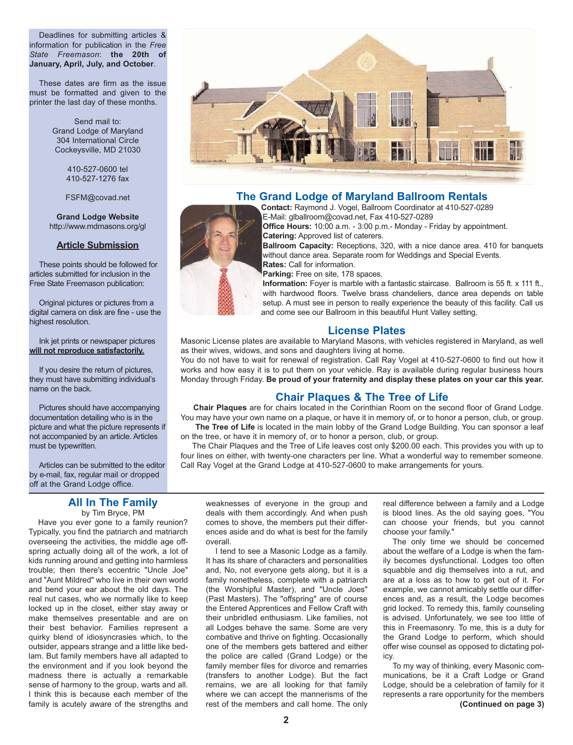Deadlines for submitting articles & information for publication in the *Free State Freemason*: **the 20th of January, April, July, and October**.

These dates are firm as the issue must be formatted and given to the printer the last day of these months.

> Send mail to: Grand Lodge of Maryland 304 International Circle Cockeysville, MD 21030

> > 410-527-0600 tel 410-527-1276 fax

FSFM@covad.net

**Grand Lodge Website** http://www.mdmasons.org/gl

#### **Article Submission**

These points should be followed for articles submitted for inclusion in the Free State Freemason publication:

Original pictures or pictures from a digital camera on disk are fine - use the highest resolution.

Ink jet prints or newspaper pictures **will not reproduce satisfactorily.**

If you desire the return of pictures, they must have submitting individual's name on the back.

Pictures should have accompanying documentation detailing who is in the picture and what the picture represents if not accompanied by an article. Articles must be typewritten.

Articles can be submitted to the editor by e-mail, fax, regular mail or dropped off at the Grand Lodge office.

#### **All In The Family** by Tim Bryce, PM

Have you ever gone to a family reunion? Typically, you find the patriarch and matriarch overseeing the activities, the middle age offspring actually doing all of the work, a lot of kids running around and getting into harmless trouble; then there's eccentric "Uncle Joe" and "Aunt Mildred" who live in their own world and bend your ear about the old days. The real nut cases, who we normally like to keep locked up in the closet, either stay away or make themselves presentable and are on their best behavior. Families represent a quirky blend of idiosyncrasies which, to the outsider, appears strange and a little like bedlam. But family members have all adapted to the environment and if you look beyond the madness there is actually a remarkable sense of harmony to the group, warts and all. I think this is because each member of the family is acutely aware of the strengths and



#### **The Grand Lodge of Maryland Ballroom Rentals**

**Contact:** Raymond J. Vogel, Ballroom Coordinator at 410-527-0289 E-Mail: glballroom@covad.net, Fax 410-527-0289

**Office Hours:** 10:00 a.m. - 3:00 p.m.- Monday - Friday by appointment. **Catering:** Approved list of caterers.

**Ballroom Capacity:** Receptions, 320, with a nice dance area. 410 for banquets without dance area. Separate room for Weddings and Special Events. **Rates:** Call for information.

Parking: Free on site, 178 spaces.

**Information:** Foyer is marble with a fantastic staircase. Ballroom is 55 ft. x 111 ft., with hardwood floors. Twelve brass chandeliers, dance area depends on table setup. A must see in person to really experience the beauty of this facility. Call us and come see our Ballroom in this beautiful Hunt Valley setting.

#### **License Plates**

Masonic License plates are available to Maryland Masons, with vehicles registered in Maryland, as well as their wives, widows, and sons and daughters living at home.

You do not have to wait for renewal of registration. Call Ray Vogel at 410-527-0600 to find out how it works and how easy it is to put them on your vehicle. Ray is available during regular business hours Monday through Friday. **Be proud of your fraternity and display these plates on your car this year.**

## **Chair Plaques & The Tree of Life**

**Chair Plaques** are for chairs located in the Corinthian Room on the second floor of Grand Lodge. You may have your own name on a plaque, or have it in memory of, or to honor a person, club, or group.

The Tree of Life is located in the main lobby of the Grand Lodge Building. You can sponsor a leaf on the tree, or have it in memory of, or to honor a person, club, or group.

The Chair Plaques and the Tree of Life leaves cost only \$200.00 each. This provides you with up to four lines on either, with twenty-one characters per line. What a wonderful way to remember someone. Call Ray Vogel at the Grand Lodge at 410-527-0600 to make arrangements for yours.

weaknesses of everyone in the group and deals with them accordingly. And when push comes to shove, the members put their differences aside and do what is best for the family overall.

I tend to see a Masonic Lodge as a family. It has its share of characters and personalities and, No, not everyone gets along, but it is a family nonetheless, complete with a patriarch (the Worshipful Master), and "Uncle Joes" (Past Masters). The "offspring" are of course the Entered Apprentices and Fellow Craft with their unbridled enthusiasm. Like families, not all Lodges behave the same. Some are very combative and thrive on fighting. Occasionally one of the members gets battered and either the police are called (Grand Lodge) or the family member files for divorce and remarries (transfers to another Lodge). But the fact remains, we are all looking for that family where we can accept the mannerisms of the rest of the members and call home. The only

real difference between a family and a Lodge is blood lines. As the old saying goes, "You can choose your friends, but you cannot choose your family."

The only time we should be concerned about the welfare of a Lodge is when the family becomes dysfunctional. Lodges too often squabble and dig themselves into a rut, and are at a loss as to how to get out of it. For example, we cannot amicably settle our differences and, as a result, the Lodge becomes grid locked. To remedy this, family counseling is advised. Unfortunately, we see too little of this in Freemasonry. To me, this is a duty for the Grand Lodge to perform, which should offer wise counsel as opposed to dictating policy.

To my way of thinking, every Masonic communications, be it a Craft Lodge or Grand Lodge, should be a celebration of family for it represents a rare opportunity for the members **(Continued on page 3)**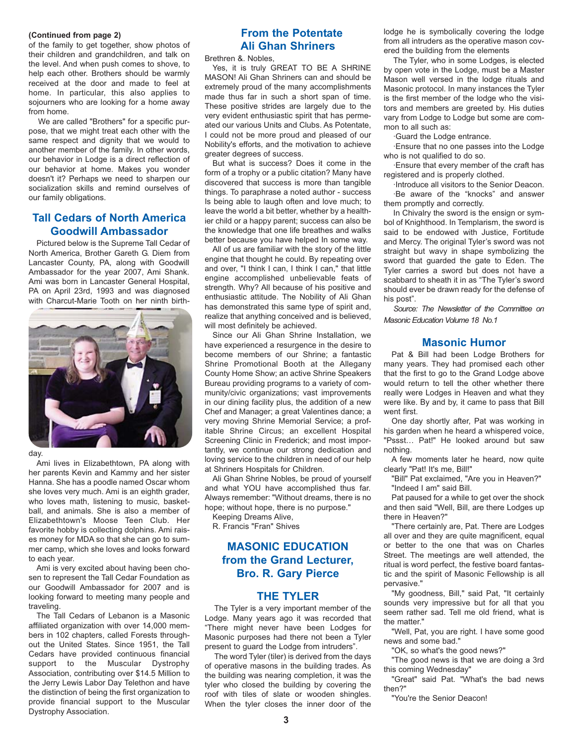#### **(Continued from page 2)**

of the family to get together, show photos of their children and grandchildren, and talk on the level. And when push comes to shove, to help each other. Brothers should be warmly received at the door and made to feel at home. In particular, this also applies to sojourners who are looking for a home away from home.

We are called "Brothers" for a specific purpose, that we might treat each other with the same respect and dignity that we would to another member of the family. In other words, our behavior in Lodge is a direct reflection of our behavior at home. Makes you wonder doesn't it? Perhaps we need to sharpen our socialization skills and remind ourselves of our family obligations.

## **Tall Cedars of North America Goodwill Ambassador**

Pictured below is the Supreme Tall Cedar of North America, Brother Gareth G. Diem from Lancaster County, PA, along with Goodwill Ambassador for the year 2007, Ami Shank. Ami was born in Lancaster General Hospital, PA on April 23rd, 1993 and was diagnosed with Charcut-Marie Tooth on her ninth birth-



day.

Ami lives in Elizabethtown, PA along with her parents Kevin and Kammy and her sister Hanna. She has a poodle named Oscar whom she loves very much. Ami is an eighth grader, who loves math, listening to music, basketball, and animals. She is also a member of Elizabethtown's Moose Teen Club. Her favorite hobby is collecting dolphins. Ami raises money for MDA so that she can go to summer camp, which she loves and looks forward to each year.

Ami is very excited about having been chosen to represent the Tall Cedar Foundation as our Goodwill Ambassador for 2007 and is looking forward to meeting many people and traveling.

The Tall Cedars of Lebanon is a Masonic affiliated organization with over 14,000 members in 102 chapters, called Forests throughout the United States. Since 1951, the Tall Cedars have provided continuous financial support to the Muscular Dystrophy Association, contributing over \$14.5 Million to the Jerry Lewis Labor Day Telethon and have the distinction of being the first organization to provide financial support to the Muscular Dystrophy Association.

## **From the Potentate Ali Ghan Shriners**

Brethren &. Nobles,

Yes, it is truly GREAT TO BE A SHRINE MASON! Ali Ghan Shriners can and should be extremely proud of the many accomplishments made thus far in such a short span of time. These positive strides are largely due to the very evident enthusiastic spirit that has permeated our various Units and Clubs. As Potentate, I could not be more proud and pleased of our Nobility's efforts, and the motivation to achieve greater degrees of success.

But what is success? Does it come in the form of a trophy or a public citation? Many have discovered that success is more than tangible things. To paraphrase a noted author - success Is being able to laugh often and love much; to leave the world a bit better, whether by a healthier child or a happy parent; success can also be the knowledge that one life breathes and walks better because you have helped In some way.

All of us are familiar with the story of the little engine that thought he could. By repeating over and over, "I think I can, I think I can," that little engine accomplished unbelievable feats of strength. Why? All because of his positive and enthusiastic attitude. The Nobility of Ali Ghan has demonstrated this same type of spirit and, realize that anything conceived and is believed, will most definitely be achieved.

Since our Ali Ghan Shrine Installation, we have experienced a resurgence in the desire to become members of our Shrine; a fantastic Shrine Promotional Booth at the Allegany County Home Show; an active Shrine Speakers Bureau providing programs to a variety of community/civic organizations; vast improvements in our dining facility plus, the addition of a new Chef and Manager; a great Valentines dance; a very moving Shrine Memorial Service; a profitable Shrine Circus; an excellent Hospital Screening Clinic in Frederick; and most importantly, we continue our strong dedication and loving service to the children in need of our help at Shriners Hospitals for Children.

Ali Ghan Shrine Nobles, be proud of yourself and what YOU have accomplished thus far. Always remember: "Without dreams, there is no hope; without hope, there is no purpose."

Keeping Dreams Alive,

R. Francis "Fran" Shives

## **MASONIC EDUCATION from the Grand Lecturer, Bro. R. Gary Pierce**

#### **THE TYLER**

The Tyler is a very important member of the Lodge. Many years ago it was recorded that "There might never have been Lodges for Masonic purposes had there not been a Tyler present to guard the Lodge from intruders".

The word Tyler (tiler) is derived from the days of operative masons in the building trades. As the building was nearing completion, it was the tyler who closed the building by covering the roof with tiles of slate or wooden shingles. When the tyler closes the inner door of the lodge he is symbolically covering the lodge from all intruders as the operative mason covered the building from the elements

The Tyler, who in some Lodges, is elected by open vote in the Lodge, must be a Master Mason well versed in the lodge rituals and Masonic protocol. In many instances the Tyler is the first member of the lodge who the visitors and members are greeted by. His duties vary from Lodge to Lodge but some are common to all such as:

·Guard the Lodge entrance.

·Ensure that no one passes into the Lodge who is not qualified to do so.

·Ensure that every member of the craft has registered and is properly clothed.

·Introduce all visitors to the Senior Deacon. ·Be aware of the "knocks" and answer them promptly and correctly.

In Chivalry the sword is the ensign or symbol of Knighthood. In Templarism, the sword is said to be endowed with Justice, Fortitude and Mercy. The original Tyler's sword was not straight but wavy in shape symbolizing the sword that guarded the gate to Eden. The Tyler carries a sword but does not have a scabbard to sheath it in as "The Tyler's sword should ever be drawn ready for the defense of his post".

*Source: The Newsletter of the Committee on Masonic Education Volume 18 No.1*

#### **Masonic Humor**

Pat & Bill had been Lodge Brothers for many years. They had promised each other that the first to go to the Grand Lodge above would return to tell the other whether there really were Lodges in Heaven and what they were like. By and by, it came to pass that Bill went first.

One day shortly after, Pat was working in his garden when he heard a whispered voice, "Pssst… Pat!" He looked around but saw nothing.

A few moments later he heard, now quite clearly "Pat! It's me, Bill!"

"Bill" Pat exclaimed, "Are you in Heaven?" "Indeed I am" said Bill.

Pat paused for a while to get over the shock and then said "Well, Bill, are there Lodges up there in Heaven?"

"There certainly are, Pat. There are Lodges all over and they are quite magnificent, equal or better to the one that was on Charles Street. The meetings are well attended, the ritual is word perfect, the festive board fantastic and the spirit of Masonic Fellowship is all pervasive."

"My goodness, Bill," said Pat, "It certainly sounds very impressive but for all that you seem rather sad. Tell me old friend, what is the matter."

"Well, Pat, you are right. I have some good news and some bad."

"OK, so what's the good news?"

"The good news is that we are doing a 3rd this coming Wednesday"

"Great" said Pat. "What's the bad news then?"

"You're the Senior Deacon!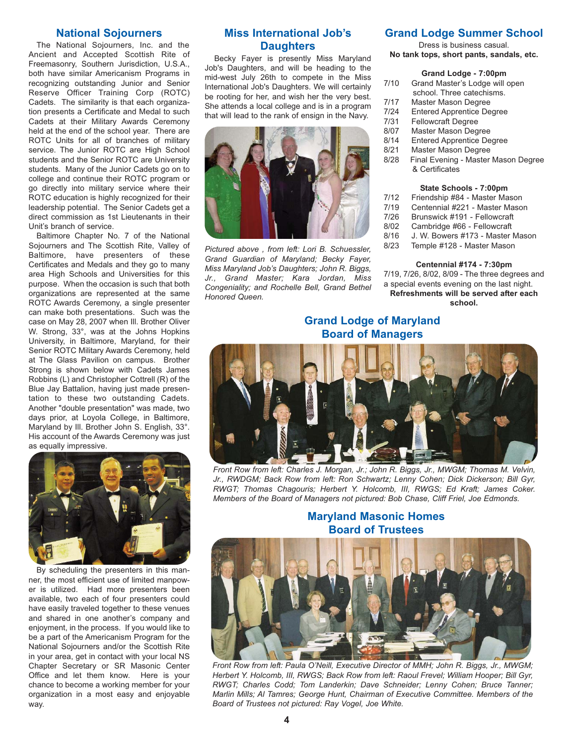#### **National Sojourners**

The National Sojourners, Inc. and the Ancient and Accepted Scottish Rite of Freemasonry, Southern Jurisdiction, U.S.A., both have similar Americanism Programs in recognizing outstanding Junior and Senior Reserve Officer Training Corp (ROTC) Cadets. The similarity is that each organization presents a Certificate and Medal to such Cadets at their Military Awards Ceremony held at the end of the school year. There are ROTC Units for all of branches of military service. The Junior ROTC are High School students and the Senior ROTC are University students. Many of the Junior Cadets go on to college and continue their ROTC program or go directly into military service where their ROTC education is highly recognized for their leadership potential. The Senior Cadets get a direct commission as 1st Lieutenants in their Unit's branch of service.

Baltimore Chapter No. 7 of the National Sojourners and The Scottish Rite, Valley of Baltimore, have presenters of these Certificates and Medals and they go to many area High Schools and Universities for this purpose. When the occasion is such that both organizations are represented at the same ROTC Awards Ceremony, a single presenter can make both presentations. Such was the case on May 28, 2007 when Ill. Brother Oliver W. Strong, 33°, was at the Johns Hopkins University, in Baltimore, Maryland, for their Senior ROTC Military Awards Ceremony, held at The Glass Pavilion on campus. Brother Strong is shown below with Cadets James Robbins (L) and Christopher Cottrell (R) of the Blue Jay Battalion, having just made presentation to these two outstanding Cadets. Another "double presentation" was made, two days prior, at Loyola College, in Baltimore, Maryland by Ill. Brother John S. English, 33°. His account of the Awards Ceremony was just as equally impressive.



By scheduling the presenters in this manner, the most efficient use of limited manpower is utilized. Had more presenters been available, two each of four presenters could have easily traveled together to these venues and shared in one another's company and enjoyment, in the process. If you would like to be a part of the Americanism Program for the National Sojourners and/or the Scottish Rite in your area, get in contact with your local NS Chapter Secretary or SR Masonic Center Office and let them know. Here is your chance to become a working member for your organization in a most easy and enjoyable way.

## **Miss International Job's Daughters**

Becky Fayer is presently Miss Maryland Job's Daughters, and will be heading to the mid-west July 26th to compete in the Miss International Job's Daughters. We will certainly be rooting for her, and wish her the very best. She attends a local college and is in a program that will lead to the rank of ensign in the Navy.



*Pictured above , from left: Lori B. Schuessler, Grand Guardian of Maryland; Becky Fayer, Miss Maryland Job's Daughters; John R. Biggs, Jr., Grand Master; Kara Jordan, Miss Congeniality; and Rochelle Bell, Grand Bethel Honored Queen.*

#### **Grand Lodge Summer School**

Dress is business casual.

**No tank tops, short pants, sandals, etc.**

#### **Grand Lodge - 7:00pm**

- 7/10 Grand Master's Lodge will open school. Three catechisms.
- 7/17 Master Mason Degree<br>7/24 Entered Apprentice De
- **Entered Apprentice Degree**
- 7/31 Fellowcraft Degree
- 8/07 Master Mason Degree<br>8/14 Entered Apprentice De
- **Entered Apprentice Degree**
- 8/21 Master Mason Degree
- 8/28 Final Evening Master Mason Degree & Certificates

#### **State Schools - 7:00pm**

- 7/12 Friendship #84 Master Mason
- 7/19 Centennial #221 Master Mason
- 7/26 Brunswick #191 Fellowcraft
- 8/02 Cambridge #66 Fellowcraft<br>8/16 J. W. Bowers #173 Master
- J. W. Bowers #173 Master Mason
- 8/23 Temple #128 Master Mason

#### **Centennial #174 - 7:30pm**

7/19, 7/26, 8/02, 8/09 - The three degrees and a special events evening on the last night. **Refreshments will be served after each school.**

## **Grand Lodge of Maryland Board of Managers**



*Front Row from left: Charles J. Morgan, Jr.; John R. Biggs, Jr., MWGM; Thomas M. Velvin, Jr., RWDGM; Back Row from left: Ron Schwartz; Lenny Cohen; Dick Dickerson; Bill Gyr, RWGT; Thomas Chagouris; Herbert Y. Holcomb, III, RWGS; Ed Kraft; James Coker. Members of the Board of Managers not pictured: Bob Chase, Cliff Friel, Joe Edmonds.*

## **Maryland Masonic Homes Board of Trustees**



*Front Row from left: Paula O'Neill, Executive Director of MMH; John R. Biggs, Jr., MWGM; Herbert Y. Holcomb, III, RWGS; Back Row from left: Raoul Frevel; William Hooper; Bill Gyr, RWGT; Charles Codd; Tom Landerkin; Dave Schneider; Lenny Cohen; Bruce Tanner; Marlin Mills; Al Tamres; George Hunt, Chairman of Executive Committee. Members of the Board of Trustees not pictured: Ray Vogel, Joe White.*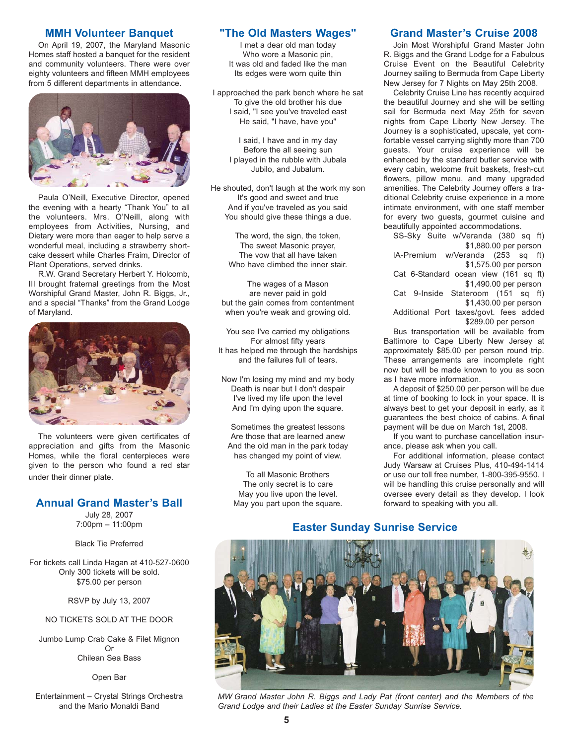#### **MMH Volunteer Banquet**

On April 19, 2007, the Maryland Masonic Homes staff hosted a banquet for the resident and community volunteers. There were over eighty volunteers and fifteen MMH employees from 5 different departments in attendance.



Paula O'Neill, Executive Director, opened the evening with a hearty "Thank You" to all the volunteers. Mrs. O'Neill, along with employees from Activities, Nursing, and Dietary were more than eager to help serve a wonderful meal, including a strawberry shortcake dessert while Charles Fraim, Director of Plant Operations, served drinks.

R.W. Grand Secretary Herbert Y. Holcomb, III brought fraternal greetings from the Most Worshipful Grand Master, John R. Biggs, Jr., and a special "Thanks" from the Grand Lodge of Maryland.



The volunteers were given certificates of appreciation and gifts from the Masonic Homes, while the floral centerpieces were given to the person who found a red star under their dinner plate.

## **Annual Grand Master's Ball**

July 28, 2007 7:00pm – 11:00pm

Black Tie Preferred

For tickets call Linda Hagan at 410-527-0600 Only 300 tickets will be sold. \$75.00 per person

RSVP by July 13, 2007

NO TICKETS SOLD AT THE DOOR

Jumbo Lump Crab Cake & Filet Mignon Or Chilean Sea Bass

Open Bar

Entertainment – Crystal Strings Orchestra and the Mario Monaldi Band

## **"The Old Masters Wages"**

I met a dear old man today Who wore a Masonic pin, It was old and faded like the man Its edges were worn quite thin

I approached the park bench where he sat To give the old brother his due I said, "I see you've traveled east He said, "I have, have you"

I said, I have and in my day Before the all seeing sun I played in the rubble with Jubala Jubilo, and Jubalum.

He shouted, don't laugh at the work my son It's good and sweet and true And if you've traveled as you said You should give these things a due.

> The word, the sign, the token, The sweet Masonic prayer, The vow that all have taken Who have climbed the inner stair.

The wages of a Mason are never paid in gold but the gain comes from contentment when you're weak and growing old.

You see I've carried my obligations For almost fifty years It has helped me through the hardships and the failures full of tears.

Now I'm losing my mind and my body Death is near but I don't despair I've lived my life upon the level And I'm dying upon the square.

Sometimes the greatest lessons Are those that are learned anew And the old man in the park today has changed my point of view.

To all Masonic Brothers The only secret is to care May you live upon the level. May you part upon the square.

## **Grand Master's Cruise 2008**

Join Most Worshipful Grand Master John R. Biggs and the Grand Lodge for a Fabulous Cruise Event on the Beautiful Celebrity Journey sailing to Bermuda from Cape Liberty New Jersey for 7 Nights on May 25th 2008.

Celebrity Cruise Line has recently acquired the beautiful Journey and she will be setting sail for Bermuda next May 25th for seven nights from Cape Liberty New Jersey. The Journey is a sophisticated, upscale, yet comfortable vessel carrying slightly more than 700 guests. Your cruise experience will be enhanced by the standard butler service with every cabin, welcome fruit baskets, fresh-cut flowers, pillow menu, and many upgraded amenities. The Celebrity Journey offers a traditional Celebrity cruise experience in a more intimate environment, with one staff member for every two guests, gourmet cuisine and beautifully appointed accommodations.

SS-Sky Suite w/Veranda (380 sq ft) \$1,880.00 per person

lA-Premium w/Veranda (253 sq ft) \$1,575.00 per person

Cat 6-Standard ocean view (161 sq ft) \$1,490.00 per person

Cat 9-Inside Stateroom (151 sq ft) \$1,430.00 per person

Additional Port taxes/govt. fees added \$289.00 per person

Bus transportation will be available from Baltimore to Cape Liberty New Jersey at approximately \$85.00 per person round trip. These arrangements are incomplete right now but will be made known to you as soon as I have more information.

A deposit of \$250.00 per person will be due at time of booking to lock in your space. It is always best to get your deposit in early, as it guarantees the best choice of cabins. A final payment will be due on March 1st, 2008.

If you want to purchase cancellation insurance, please ask when you call.

For additional information, please contact Judy Warsaw at Cruises Plus, 410-494-1414 or use our toll free number, 1-800-395-9550. I will be handling this cruise personally and will oversee every detail as they develop. I look forward to speaking with you all.

## **Easter Sunday Sunrise Service**



*MW Grand Master John R. Biggs and Lady Pat (front center) and the Members of the Grand Lodge and their Ladies at the Easter Sunday Sunrise Service.*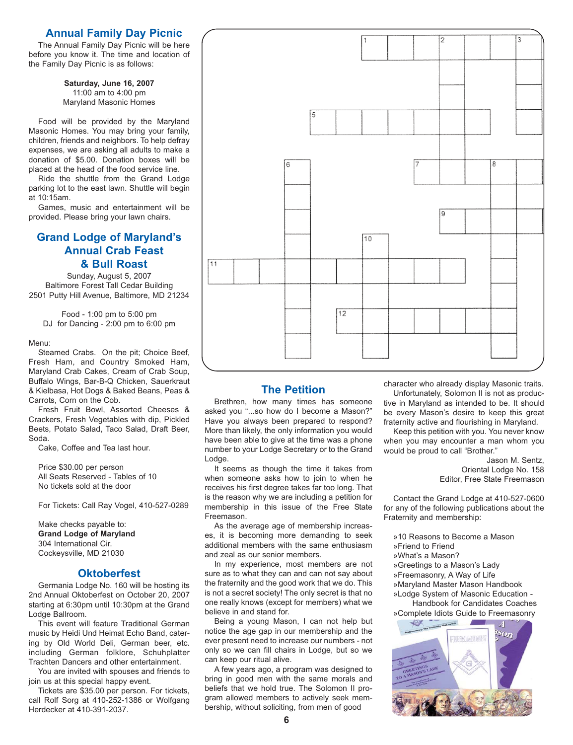## **Annual Family Day Picnic**

The Annual Family Day Picnic will be here before you know it. The time and location of the Family Day Picnic is as follows:

> **Saturday, June 16, 2007** 11:00 am to 4:00 pm Maryland Masonic Homes

Food will be provided by the Maryland Masonic Homes. You may bring your family, children, friends and neighbors. To help defray expenses, we are asking all adults to make a donation of \$5.00. Donation boxes will be placed at the head of the food service line.

Ride the shuttle from the Grand Lodge parking lot to the east lawn. Shuttle will begin at 10:15am.

Games, music and entertainment will be provided. Please bring your lawn chairs.

## **Grand Lodge of Maryland's Annual Crab Feast & Bull Roast**

Sunday, August 5, 2007 Baltimore Forest Tall Cedar Building 2501 Putty Hill Avenue, Baltimore, MD 21234

Food - 1:00 pm to 5:00 pm DJ for Dancing - 2:00 pm to 6:00 pm

#### Menu:

Steamed Crabs. On the pit; Choice Beef, Fresh Ham, and Country Smoked Ham, Maryland Crab Cakes, Cream of Crab Soup, Buffalo Wings, Bar-B-Q Chicken, Sauerkraut & Kielbasa, Hot Dogs & Baked Beans, Peas & Carrots, Corn on the Cob.

Fresh Fruit Bowl, Assorted Cheeses & Crackers, Fresh Vegetables with dip, Pickled Beets, Potato Salad, Taco Salad, Draft Beer, Soda.

Cake, Coffee and Tea last hour.

Price \$30.00 per person All Seats Reserved - Tables of 10 No tickets sold at the door

For Tickets: Call Ray Vogel, 410-527-0289

Make checks payable to: **Grand Lodge of Maryland** 304 International Cir. Cockeysville, MD 21030

#### **Oktoberfest**

Germania Lodge No. 160 will be hosting its 2nd Annual Oktoberfest on October 20, 2007 starting at 6:30pm until 10:30pm at the Grand Lodge Ballroom.

This event will feature Traditional German music by Heidi Und Heimat Echo Band, catering by Old World Deli, German beer, etc. including German folklore, Schuhplatter Trachten Dancers and other entertainment.

You are invited with spouses and friends to join us at this special happy event.

Tickets are \$35.00 per person. For tickets, call Rolf Sorg at 410-252-1386 or Wolfgang Herdecker at 410-391-2037.



## **The Petition**

Brethren, how many times has someone asked you "...so how do I become a Mason?" Have you always been prepared to respond? More than likely, the only information you would have been able to give at the time was a phone number to your Lodge Secretary or to the Grand Lodge.

It seems as though the time it takes from when someone asks how to join to when he receives his first degree takes far too long. That is the reason why we are including a petition for membership in this issue of the Free State Freemason.

As the average age of membership increases, it is becoming more demanding to seek additional members with the same enthusiasm and zeal as our senior members.

In my experience, most members are not sure as to what they can and can not say about the fraternity and the good work that we do. This is not a secret society! The only secret is that no one really knows (except for members) what we believe in and stand for.

Being a young Mason, I can not help but notice the age gap in our membership and the ever present need to increase our numbers - not only so we can fill chairs in Lodge, but so we can keep our ritual alive.

A few years ago, a program was designed to bring in good men with the same morals and beliefs that we hold true. The Solomon II program allowed members to actively seek membership, without soliciting, from men of good

character who already display Masonic traits.

Unfortunately, Solomon II is not as productive in Maryland as intended to be. It should be every Mason's desire to keep this great fraternity active and flourishing in Maryland.

Keep this petition with you. You never know when you may encounter a man whom you would be proud to call "Brother."

> Jason M. Sentz, Oriental Lodge No. 158 Editor, Free State Freemason

Contact the Grand Lodge at 410-527-0600 for any of the following publications about the Fraternity and membership:

- »10 Reasons to Become a Mason
- »Friend to Friend
- »What's a Mason?
- »Greetings to a Mason's Lady
- »Freemasonry, A Way of Life
- »Maryland Master Mason Handbook
- »Lodge System of Masonic Education -

Handbook for Candidates Coaches »Complete Idiots Guide to Freemasonry

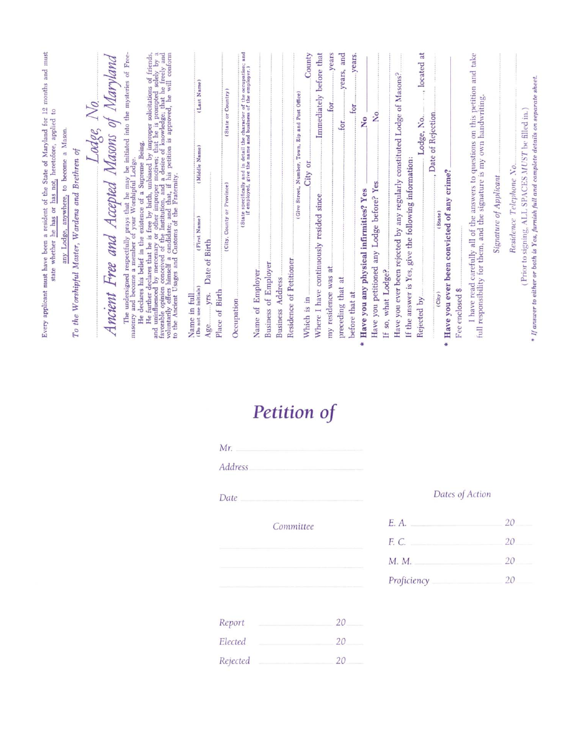|   | Every applicant must have been a resident of the State of Maryland for 12 months and must<br>$\mathbf{e}$<br>has not, heretofore, applied<br>he has or<br>state whether                                                                                                                         |
|---|-------------------------------------------------------------------------------------------------------------------------------------------------------------------------------------------------------------------------------------------------------------------------------------------------|
|   | to become a Mason.<br>To the Worshipful Master, Wardens and Brethren of<br>any Lodge, anywhere,                                                                                                                                                                                                 |
|   | $odge$ IVO.                                                                                                                                                                                                                                                                                     |
|   | Maryland<br>$\partial f$<br>Masons<br>Free and Accepted<br>Ancient                                                                                                                                                                                                                              |
|   | The undersigned respectfully prays that he may be initiated into the mysteries of Freenry and become a member of your Worshipful Lodge.<br>masonry                                                                                                                                              |
|   | He further declares that he is free by birth, unbiased by improper solicitations of friends, and uninfluenced by mercenary or other improper motives; that he is prompted solely by a favorable opinion conceived of the Inst<br>declares his belief in the existence of a Supreme Being.<br>He |
|   | (Last Name<br>(Middle Name)<br>(First Name)<br>(Do not use initials)<br>Name in full                                                                                                                                                                                                            |
|   | Date of Birth<br>Place of Birth<br>yrs.<br>Age.                                                                                                                                                                                                                                                 |
|   | (State or Country)<br>Province)<br>ö<br>(City, County<br>Occupation                                                                                                                                                                                                                             |
|   | of the occupation; and<br>of the employer.)<br>(State specifically and in detail the character<br>if employed, give the name and business                                                                                                                                                       |
|   | Name of Employer                                                                                                                                                                                                                                                                                |
|   | Business of Employer                                                                                                                                                                                                                                                                            |
|   | Address<br><b>Business</b>                                                                                                                                                                                                                                                                      |
|   | Residence of Petitioner                                                                                                                                                                                                                                                                         |
|   | County<br>Zip and Post Office)<br>Town,<br>(Give Street, Number,<br>City or<br>Which is in                                                                                                                                                                                                      |
|   | Immediately before that<br>since<br>resided<br>Where I have continuously                                                                                                                                                                                                                        |
|   | years<br>10I<br>ät<br>my residence was                                                                                                                                                                                                                                                          |
|   | and<br>years,<br>$f$ or<br>preceding that at                                                                                                                                                                                                                                                    |
|   | years<br>for<br>before that at                                                                                                                                                                                                                                                                  |
| ÷ | $\mathbf{S}$<br>Have you any physical infirmities? Yes                                                                                                                                                                                                                                          |
|   | $\frac{1}{2}$<br>any Lodge before? Yes<br>Have you petitioned                                                                                                                                                                                                                                   |
|   | If so, what Lodge?                                                                                                                                                                                                                                                                              |
|   | Have you ever been rejected by any regularly constituted Lodge of Masons?                                                                                                                                                                                                                       |
|   | If the answer is Yes, give the following information:                                                                                                                                                                                                                                           |
|   | located at<br>$\hat{\mathbf{r}}$<br>Lodge, No.<br>Rejected by                                                                                                                                                                                                                                   |
|   | , Date of Rejection<br>(State)<br>(City)                                                                                                                                                                                                                                                        |
|   | Have you ever been convicted of any crime?                                                                                                                                                                                                                                                      |
|   | Fee enclosed \$                                                                                                                                                                                                                                                                                 |
|   | on this petition and take<br>full responsibility for them, and the signature is my own handwriting.<br>I have read carefully all of the answers to questions                                                                                                                                    |
|   | Signature of Applicant                                                                                                                                                                                                                                                                          |
|   | Residence Telephone No.                                                                                                                                                                                                                                                                         |
|   | (Prior to signing, ALL SPACES MUST be filled in.                                                                                                                                                                                                                                                |
|   | $*$ If answer to either or both is Yes, furnish full and complete details on separate sheet.                                                                                                                                                                                                    |

# Petition of

| Mr.               |           |
|-------------------|-----------|
| Address           |           |
| Date              |           |
|                   | Committee |
|                   |           |
|                   |           |
|                   |           |
|                   | 20        |
| Report<br>Elected | 20        |

## Dates of Action

| E. A.       | 20 |
|-------------|----|
| F. C.       | 20 |
| M. M.       | 20 |
| Proficiency | 20 |